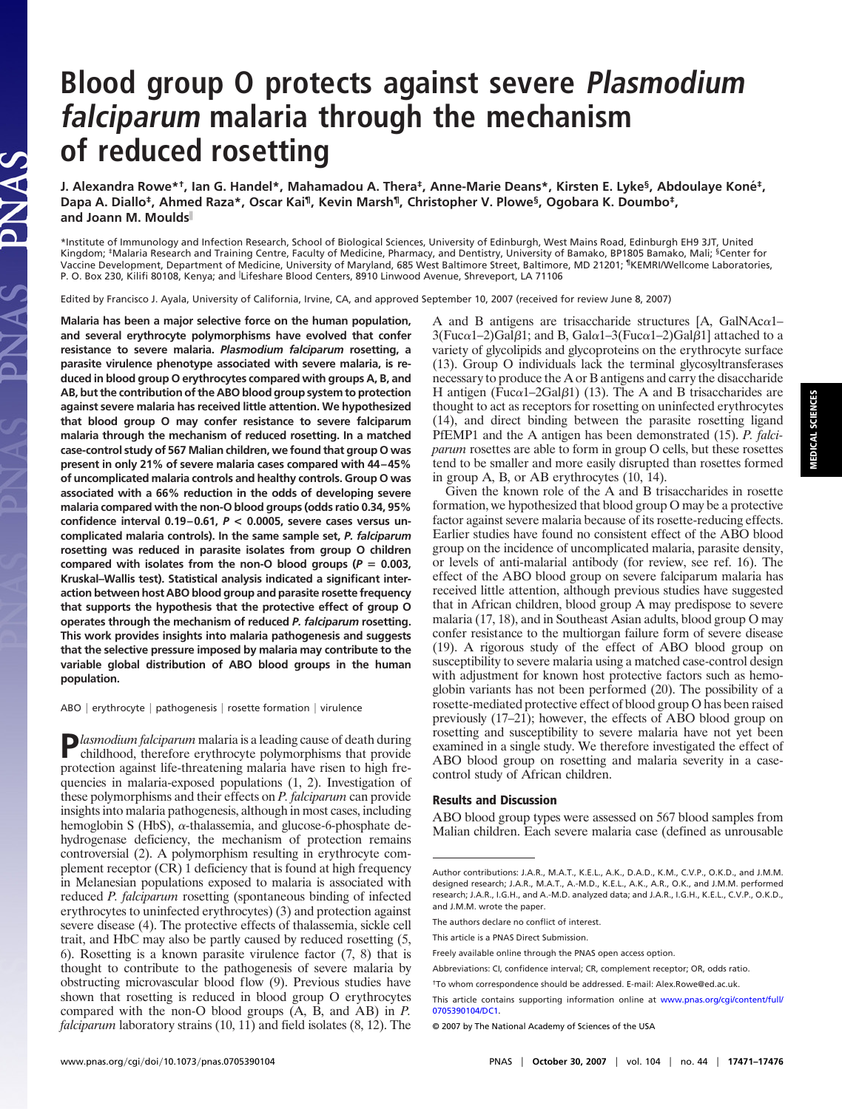# **Blood group O protects against severe Plasmodium falciparum malaria through the mechanism of reduced rosetting**

**J. Alexandra Rowe\*†, Ian G. Handel\*, Mahamadou A. Thera‡, Anne-Marie Deans\*, Kirsten E. Lyke§, Abdoulaye Kone´ ‡, Dapa A. Diallo‡, Ahmed Raza\*, Oscar Kai¶, Kevin Marsh¶, Christopher V. Plowe§, Ogobara K. Doumbo‡, and Joann M. Moulds**

\*Institute of Immunology and Infection Research, School of Biological Sciences, University of Edinburgh, West Mains Road, Edinburgh EH9 3JT, United Kingdom; <sup>‡</sup>Malaria Research and Training Centre, Faculty of Medicine, Pharmacy, and Dentistry, University of Bamako, BP1805 Bamako, Mali; <sup>§</sup>Center for Vaccine Development, Department of Medicine, University of Maryland, 685 West Baltimore Street, Baltimore, MD 21201; ¶KEMRI/Wellcome Laboratories, P. O. Box 230, Kilifi 80108, Kenya; and <sup>∥</sup>Lifeshare Blood Centers, 8910 Linwood Avenue, Shreveport, LA 71106

Edited by Francisco J. Ayala, University of California, Irvine, CA, and approved September 10, 2007 (received for review June 8, 2007)

**Malaria has been a major selective force on the human population, and several erythrocyte polymorphisms have evolved that confer resistance to severe malaria.** *Plasmodium falciparum* **rosetting, a parasite virulence phenotype associated with severe malaria, is reduced in blood group O erythrocytes compared with groups A, B, and AB, but the contribution of the ABO blood group system to protection against severe malaria has received little attention. We hypothesized that blood group O may confer resistance to severe falciparum malaria through the mechanism of reduced rosetting. In a matched case-control study of 567 Malian children, we found that group O was present in only 21% of severe malaria cases compared with 44–45% of uncomplicated malaria controls and healthy controls. Group O was associated with a 66% reduction in the odds of developing severe malaria compared with the non-O blood groups (odds ratio 0.34, 95% confidence interval 0.19–0.61,** *P* **< 0.0005, severe cases versus uncomplicated malaria controls). In the same sample set,** *P. falciparum* **rosetting was reduced in parasite isolates from group O children** compared with isolates from the non-O blood groups ( $P = 0.003$ , **Kruskal–Wallis test). Statistical analysis indicated a significant interaction between host ABO blood group and parasite rosette frequency that supports the hypothesis that the protective effect of group O operates through the mechanism of reduced** *P. falciparum* **rosetting. This work provides insights into malaria pathogenesis and suggests that the selective pressure imposed by malaria may contribute to the variable global distribution of ABO blood groups in the human population.**

AS<sup>S</sup>

ABO | erythrocyte | pathogenesis | rosette formation | virulence

**P***lasmodium falciparum* malaria is a leading cause of death during childhood, therefore erythrocyte polymorphisms that provide protection against life-threatening malaria have risen to high frequencies in malaria-exposed populations (1, 2). Investigation of these polymorphisms and their effects on *P. falciparum* can provide insights into malaria pathogenesis, although in most cases, including hemoglobin S (HbS),  $\alpha$ -thalassemia, and glucose-6-phosphate dehydrogenase deficiency, the mechanism of protection remains controversial (2). A polymorphism resulting in erythrocyte complement receptor (CR) 1 deficiency that is found at high frequency in Melanesian populations exposed to malaria is associated with reduced *P. falciparum* rosetting (spontaneous binding of infected erythrocytes to uninfected erythrocytes) (3) and protection against severe disease (4). The protective effects of thalassemia, sickle cell trait, and HbC may also be partly caused by reduced rosetting (5, 6). Rosetting is a known parasite virulence factor (7, 8) that is thought to contribute to the pathogenesis of severe malaria by obstructing microvascular blood flow (9). Previous studies have shown that rosetting is reduced in blood group O erythrocytes compared with the non-O blood groups (A, B, and AB) in *P. falciparum* laboratory strains (10, 11) and field isolates (8, 12). The

A and B antigens are trisaccharide structures  $[A, GalNAc<sub>α1</sub> -$ 3(Fuc $\alpha$ 1–2)Gal $\beta$ 1; and B, Gal $\alpha$ 1–3(Fuc $\alpha$ 1–2)Gal $\beta$ 1] attached to a variety of glycolipids and glycoproteins on the erythrocyte surface (13). Group O individuals lack the terminal glycosyltransferases necessary to produce the A or B antigens and carry the disaccharide H antigen (Fuc $\alpha$ 1–2Gal $\beta$ 1) (13). The A and B trisaccharides are thought to act as receptors for rosetting on uninfected erythrocytes (14), and direct binding between the parasite rosetting ligand PfEMP1 and the A antigen has been demonstrated (15). *P. falciparum* rosettes are able to form in group O cells, but these rosettes tend to be smaller and more easily disrupted than rosettes formed in group A, B, or AB erythrocytes (10, 14).

Given the known role of the A and B trisaccharides in rosette formation, we hypothesized that blood group O may be a protective factor against severe malaria because of its rosette-reducing effects. Earlier studies have found no consistent effect of the ABO blood group on the incidence of uncomplicated malaria, parasite density, or levels of anti-malarial antibody (for review, see ref. 16). The effect of the ABO blood group on severe falciparum malaria has received little attention, although previous studies have suggested that in African children, blood group A may predispose to severe malaria (17, 18), and in Southeast Asian adults, blood group O may confer resistance to the multiorgan failure form of severe disease (19). A rigorous study of the effect of ABO blood group on susceptibility to severe malaria using a matched case-control design with adjustment for known host protective factors such as hemoglobin variants has not been performed (20). The possibility of a rosette-mediated protective effect of blood group O has been raised previously (17–21); however, the effects of ABO blood group on rosetting and susceptibility to severe malaria have not yet been examined in a single study. We therefore investigated the effect of ABO blood group on rosetting and malaria severity in a casecontrol study of African children.

#### **Results and Discussion**

ABO blood group types were assessed on 567 blood samples from Malian children. Each severe malaria case (defined as unrousable **MEDICAL SCIENCES**

**MEDICAL SCIENCES** 

Author contributions: J.A.R., M.A.T., K.E.L., A.K., D.A.D., K.M., C.V.P., O.K.D., and J.M.M. designed research; J.A.R., M.A.T., A.-M.D., K.E.L., A.K., A.R., O.K., and J.M.M. performed research; J.A.R., I.G.H., and A.-M.D. analyzed data; and J.A.R., I.G.H., K.E.L., C.V.P., O.K.D., and J.M.M. wrote the paper.

The authors declare no conflict of interest.

This article is a PNAS Direct Submission.

Freely available online through the PNAS open access option.

Abbreviations: CI, confidence interval; CR, complement receptor; OR, odds ratio.

<sup>†</sup>To whom correspondence should be addressed. E-mail: Alex.Rowe@ed.ac.uk.

This article contains supporting information online at [www.pnas.org/cgi/content/full/](#page-6-0) [0705390104/DC1.](#page-6-0)

<sup>© 2007</sup> by The National Academy of Sciences of the USA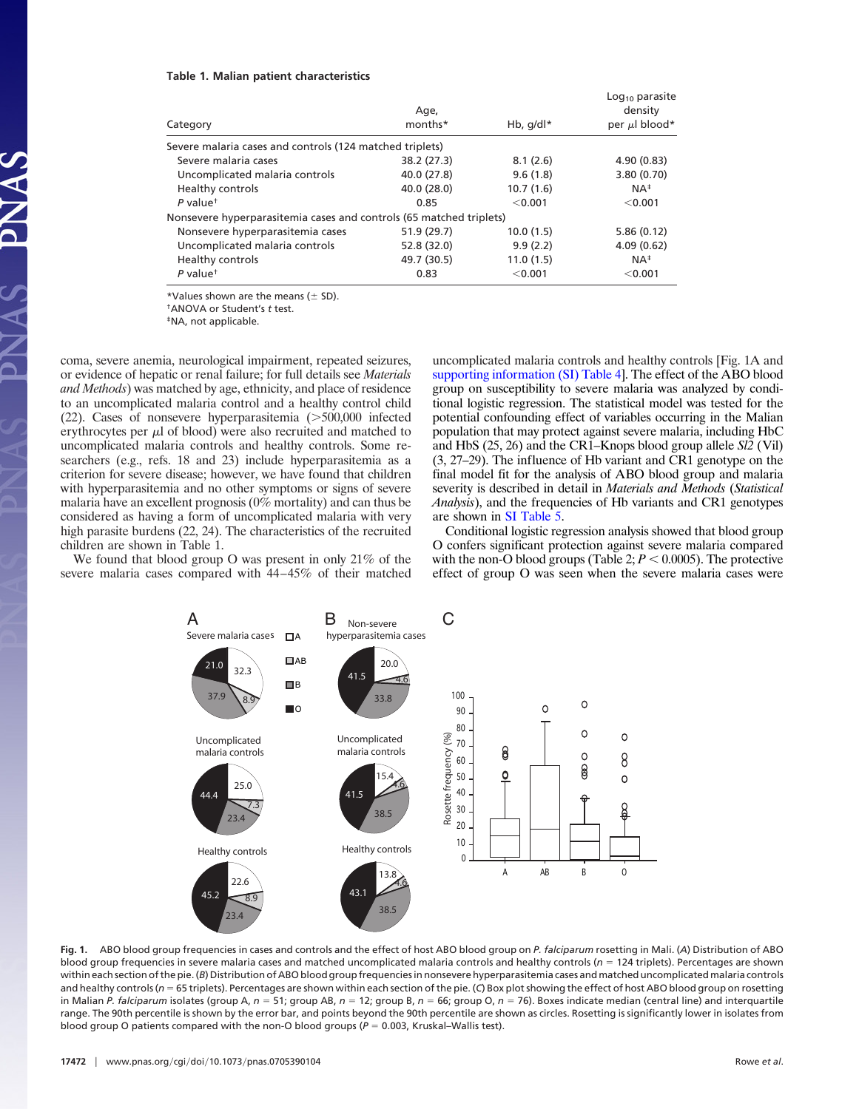#### **Table 1. Malian patient characteristics**

| Category                                                            | Age,<br>months* | Hb, $q/d \upharpoonright^*$ | $Log10$ parasite<br>density<br>per $\mu$ l blood* |
|---------------------------------------------------------------------|-----------------|-----------------------------|---------------------------------------------------|
| Severe malaria cases and controls (124 matched triplets)            |                 |                             |                                                   |
| Severe malaria cases                                                | 38.2 (27.3)     | 8.1(2.6)                    | 4.90(0.83)                                        |
| Uncomplicated malaria controls                                      | 40.0 (27.8)     | 9.6(1.8)                    | 3.80 (0.70)                                       |
| Healthy controls                                                    | 40.0 (28.0)     | 10.7(1.6)                   | $NA^{\ddagger}$                                   |
| $P$ value <sup>t</sup>                                              | 0.85            | < 0.001                     | < 0.001                                           |
| Nonsevere hyperparasitemia cases and controls (65 matched triplets) |                 |                             |                                                   |
| Nonsevere hyperparasitemia cases                                    | 51.9 (29.7)     | 10.0(1.5)                   | 5.86(0.12)                                        |
| Uncomplicated malaria controls                                      | 52.8 (32.0)     | 9.9(2.2)                    | 4.09(0.62)                                        |
| Healthy controls                                                    | 49.7 (30.5)     | 11.0(1.5)                   | $NA^{\ddagger}$                                   |
| $P$ value <sup>+</sup>                                              | 0.83            | $<$ 0.001                   | < 0.001                                           |
|                                                                     |                 |                             |                                                   |

\*Values shown are the means  $(\pm$  SD).

†ANOVA or Student's *t* test.

‡NA, not applicable.

coma, severe anemia, neurological impairment, repeated seizures, or evidence of hepatic or renal failure; for full details see *Materials and Methods*) was matched by age, ethnicity, and place of residence to an uncomplicated malaria control and a healthy control child  $(22)$ . Cases of nonsevere hyperparasitemia  $($ >500,000 infected erythrocytes per  $\mu$ l of blood) were also recruited and matched to uncomplicated malaria controls and healthy controls. Some researchers (e.g., refs. 18 and 23) include hyperparasitemia as a criterion for severe disease; however, we have found that children with hyperparasitemia and no other symptoms or signs of severe malaria have an excellent prognosis (0% mortality) and can thus be considered as having a form of uncomplicated malaria with very high parasite burdens (22, 24). The characteristics of the recruited children are shown in Table 1.

We found that blood group O was present in only 21% of the severe malaria cases compared with 44–45% of their matched uncomplicated malaria controls and healthy controls [Fig. 1A and [supporting information \(SI\) Table 4\]](#page-6-0). The effect of the ABO blood group on susceptibility to severe malaria was analyzed by conditional logistic regression. The statistical model was tested for the potential confounding effect of variables occurring in the Malian population that may protect against severe malaria, including HbC and HbS (25, 26) and the CR1–Knops blood group allele *Sl2* (Vil) (3, 27–29). The influence of Hb variant and CR1 genotype on the final model fit for the analysis of ABO blood group and malaria severity is described in detail in *Materials and Methods* (*Statistical Analysis*), and the frequencies of Hb variants and CR1 genotypes are shown in [SI Table 5.](#page-6-0)

Conditional logistic regression analysis showed that blood group O confers significant protection against severe malaria compared with the non-O blood groups (Table 2;  $P < 0.0005$ ). The protective effect of group O was seen when the severe malaria cases were



**Fig. 1.** ABO blood group frequencies in cases and controls and the effect of host ABO blood group on *P. falciparum* rosetting in Mali. (*A*) Distribution of ABO blood group frequencies in severe malaria cases and matched uncomplicated malaria controls and healthy controls  $(n = 124$  triplets). Percentages are shown within each section of the pie. (*B*) Distribution of ABO blood group frequencies in nonsevere hyperparasitemia cases and matched uncomplicated malaria controls and healthy controls (*n* 65 triplets). Percentages are shown within each section of the pie. (*C*) Box plot showing the effect of host ABO blood group on rosetting in Malian *P. falciparum* isolates (group A,  $n = 51$ ; group AB,  $n = 12$ ; group B,  $n = 66$ ; group O,  $n = 76$ ). Boxes indicate median (central line) and interquartile range. The 90th percentile is shown by the error bar, and points beyond the 90th percentile are shown as circles. Rosetting is significantly lower in isolates from blood group O patients compared with the non-O blood groups ( $P = 0.003$ , Kruskal-Wallis test).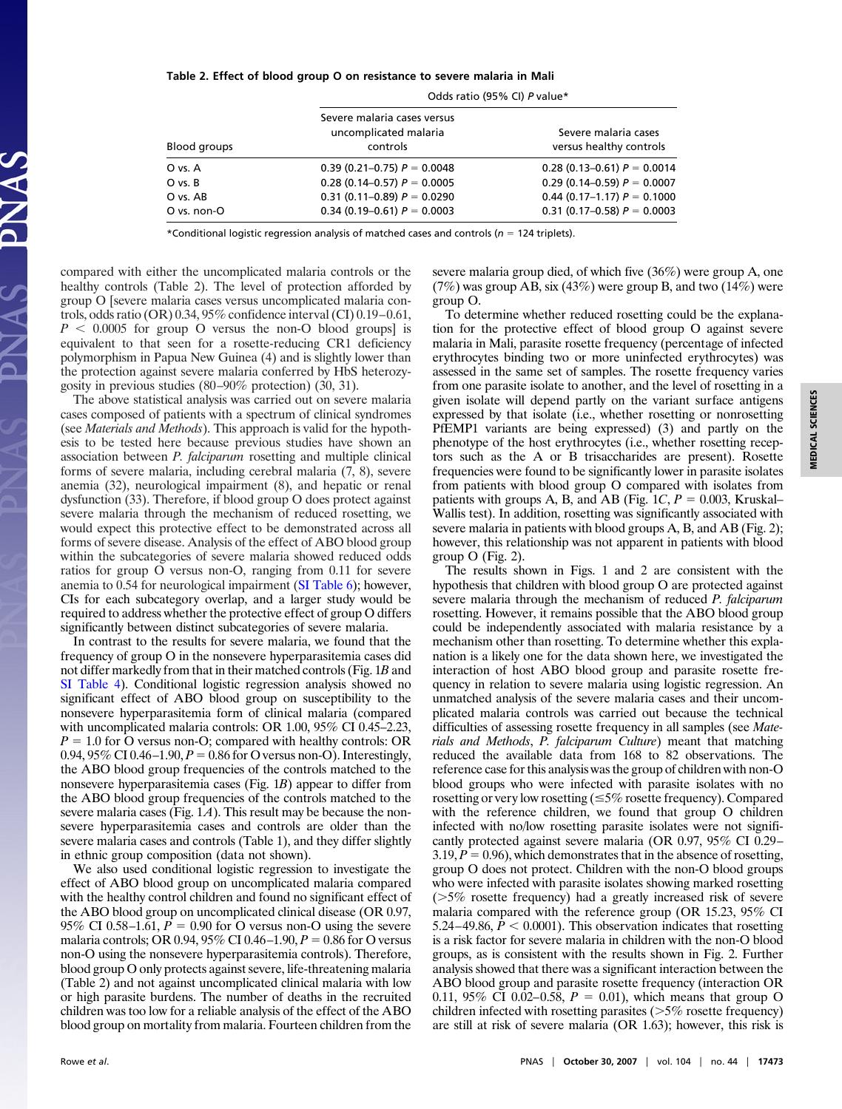#### **Table 2. Effect of blood group O on resistance to severe malaria in Mali**

|              | Odds ratio (95% CI) P value*                                     |                                                 |
|--------------|------------------------------------------------------------------|-------------------------------------------------|
| Blood groups | Severe malaria cases versus<br>uncomplicated malaria<br>controls | Severe malaria cases<br>versus healthy controls |
| O vs. A      | 0.39 (0.21–0.75) $P = 0.0048$                                    | 0.28 (0.13–0.61) $P = 0.0014$                   |
| O vs. B      | 0.28 (0.14–0.57) $P = 0.0005$                                    | 0.29 (0.14–0.59) $P = 0.0007$                   |
| O vs. AB     | $0.31(0.11-0.89) P = 0.0290$                                     | 0.44 (0.17–1.17) $P = 0.1000$                   |
| O vs. non-O  | 0.34 (0.19–0.61) $P = 0.0003$                                    | 0.31 (0.17-0.58) $P = 0.0003$                   |
|              |                                                                  |                                                 |

\*Conditional logistic regression analysis of matched cases and controls ( $n = 124$  triplets).

compared with either the uncomplicated malaria controls or the healthy controls (Table 2). The level of protection afforded by group O [severe malaria cases versus uncomplicated malaria controls, odds ratio (OR) 0.34, 95% confidence interval (CI) 0.19–0.61,  $P < 0.0005$  for group O versus the non-O blood groups] is equivalent to that seen for a rosette-reducing CR1 deficiency polymorphism in Papua New Guinea (4) and is slightly lower than the protection against severe malaria conferred by HbS heterozygosity in previous studies (80–90% protection) (30, 31).

The above statistical analysis was carried out on severe malaria cases composed of patients with a spectrum of clinical syndromes (see *Materials and Methods*). This approach is valid for the hypothesis to be tested here because previous studies have shown an association between *P. falciparum* rosetting and multiple clinical forms of severe malaria, including cerebral malaria (7, 8), severe anemia (32), neurological impairment (8), and hepatic or renal dysfunction (33). Therefore, if blood group O does protect against severe malaria through the mechanism of reduced rosetting, we would expect this protective effect to be demonstrated across all forms of severe disease. Analysis of the effect of ABO blood group within the subcategories of severe malaria showed reduced odds ratios for group O versus non-O, ranging from 0.11 for severe anemia to 0.54 for neurological impairment [\(SI Table 6\)](#page-6-0); however, CIs for each subcategory overlap, and a larger study would be required to address whether the protective effect of group O differs significantly between distinct subcategories of severe malaria.

In contrast to the results for severe malaria, we found that the frequency of group O in the nonsevere hyperparasitemia cases did not differ markedly from that in their matched controls (Fig. 1*B* and [SI Table 4\)](#page-6-0). Conditional logistic regression analysis showed no significant effect of ABO blood group on susceptibility to the nonsevere hyperparasitemia form of clinical malaria (compared with uncomplicated malaria controls: OR 1.00, 95% CI 0.45–2.23,  $P = 1.0$  for O versus non-O; compared with healthy controls: OR 0.94,  $95\%$  CI 0.46–1.90,  $P = 0.86$  for O versus non-O). Interestingly, the ABO blood group frequencies of the controls matched to the nonsevere hyperparasitemia cases (Fig. 1*B*) appear to differ from the ABO blood group frequencies of the controls matched to the severe malaria cases (Fig. 1*A*). This result may be because the nonsevere hyperparasitemia cases and controls are older than the severe malaria cases and controls (Table 1), and they differ slightly in ethnic group composition (data not shown).

We also used conditional logistic regression to investigate the effect of ABO blood group on uncomplicated malaria compared with the healthy control children and found no significant effect of the ABO blood group on uncomplicated clinical disease (OR 0.97, 95% CI 0.58–1.61,  $P = 0.90$  for O versus non-O using the severe malaria controls; OR 0.94, 95% CI 0.46–1.90,  $P = 0.86$  for O versus non-O using the nonsevere hyperparasitemia controls). Therefore, blood group O only protects against severe, life-threatening malaria (Table 2) and not against uncomplicated clinical malaria with low or high parasite burdens. The number of deaths in the recruited children was too low for a reliable analysis of the effect of the ABO blood group on mortality from malaria. Fourteen children from the severe malaria group died, of which five (36%) were group A, one  $(7%)$  was group AB, six  $(43%)$  were group B, and two  $(14%)$  were group O.

To determine whether reduced rosetting could be the explanation for the protective effect of blood group O against severe malaria in Mali, parasite rosette frequency (percentage of infected erythrocytes binding two or more uninfected erythrocytes) was assessed in the same set of samples. The rosette frequency varies from one parasite isolate to another, and the level of rosetting in a given isolate will depend partly on the variant surface antigens expressed by that isolate (i.e., whether rosetting or nonrosetting PfEMP1 variants are being expressed) (3) and partly on the phenotype of the host erythrocytes (i.e., whether rosetting receptors such as the A or B trisaccharides are present). Rosette frequencies were found to be significantly lower in parasite isolates from patients with blood group O compared with isolates from patients with groups A, B, and AB (Fig.  $1C$ ,  $P = 0.003$ , Kruskal– Wallis test). In addition, rosetting was significantly associated with severe malaria in patients with blood groups A, B, and AB (Fig. 2); however, this relationship was not apparent in patients with blood group O (Fig. 2).

The results shown in Figs. 1 and 2 are consistent with the hypothesis that children with blood group O are protected against severe malaria through the mechanism of reduced *P. falciparum* rosetting. However, it remains possible that the ABO blood group could be independently associated with malaria resistance by a mechanism other than rosetting. To determine whether this explanation is a likely one for the data shown here, we investigated the interaction of host ABO blood group and parasite rosette frequency in relation to severe malaria using logistic regression. An unmatched analysis of the severe malaria cases and their uncomplicated malaria controls was carried out because the technical difficulties of assessing rosette frequency in all samples (see *Materials and Methods*, *P. falciparum Culture*) meant that matching reduced the available data from 168 to 82 observations. The reference case for this analysis was the group of children with non-O blood groups who were infected with parasite isolates with no rosetting or very low rosetting  $(\leq 5\%$  rosette frequency). Compared with the reference children, we found that group O children infected with no/low rosetting parasite isolates were not significantly protected against severe malaria (OR 0.97, 95% CI 0.29–  $3.19, P = 0.96$ , which demonstrates that in the absence of rosetting, group O does not protect. Children with the non-O blood groups who were infected with parasite isolates showing marked rosetting  $($ >5% rosette frequency) had a greatly increased risk of severe malaria compared with the reference group (OR 15.23, 95% CI  $5.24-49.86$ ,  $P < 0.0001$ ). This observation indicates that rosetting is a risk factor for severe malaria in children with the non-O blood groups, as is consistent with the results shown in Fig. 2. Further analysis showed that there was a significant interaction between the ABO blood group and parasite rosette frequency (interaction OR 0.11, 95% CI 0.02–0.58,  $P = 0.01$ ), which means that group O children infected with rosetting parasites  $(>\frac{5}{6}$  rosette frequency) are still at risk of severe malaria (OR 1.63); however, this risk is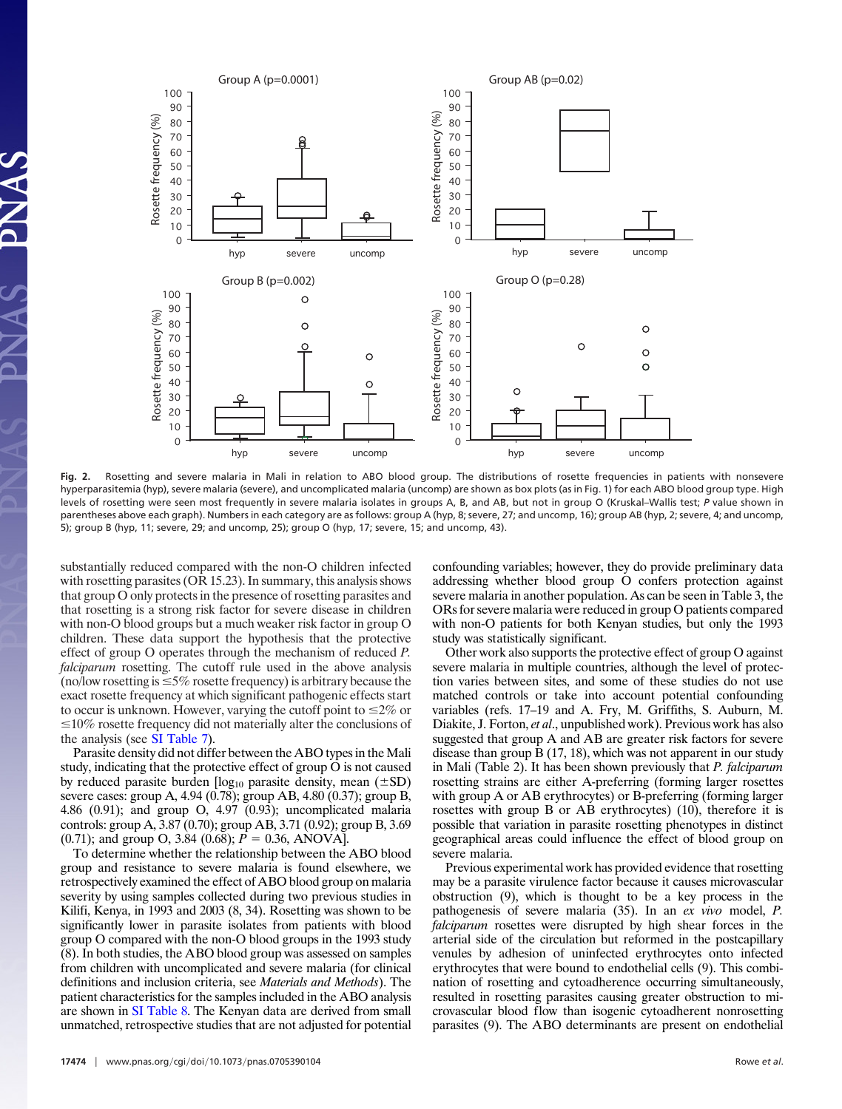

**Fig. 2.** Rosetting and severe malaria in Mali in relation to ABO blood group. The distributions of rosette frequencies in patients with nonsevere hyperparasitemia (hyp), severe malaria (severe), and uncomplicated malaria (uncomp) are shown as box plots (as in Fig. 1) for each ABO blood group type. High levels of rosetting were seen most frequently in severe malaria isolates in groups A, B, and AB, but not in group O (Kruskal–Wallis test; *P* value shown in parentheses above each graph). Numbers in each category are as follows: group A (hyp, 8; severe, 27; and uncomp, 16); group AB (hyp, 2; severe, 4; and uncomp, 5); group B (hyp, 11; severe, 29; and uncomp, 25); group O (hyp, 17; severe, 15; and uncomp, 43).

substantially reduced compared with the non-O children infected with rosetting parasites (OR 15.23). In summary, this analysis shows that group O only protects in the presence of rosetting parasites and that rosetting is a strong risk factor for severe disease in children with non-O blood groups but a much weaker risk factor in group O children. These data support the hypothesis that the protective effect of group O operates through the mechanism of reduced *P. falciparum* rosetting. The cutoff rule used in the above analysis (no/low rosetting is  $\leq$ 5% rosette frequency) is arbitrary because the exact rosette frequency at which significant pathogenic effects start to occur is unknown. However, varying the cutoff point to  $\leq 2\%$  or  $\leq$ 10% rosette frequency did not materially alter the conclusions of the analysis (see [SI Table 7\)](#page-6-0).

Parasite density did not differ between the ABO types in the Mali study, indicating that the protective effect of group O is not caused by reduced parasite burden  $[log_{10}$  parasite density, mean ( $\pm SD$ ) severe cases: group A, 4.94 (0.78); group AB, 4.80 (0.37); group B, 4.86 (0.91); and group O, 4.97 (0.93); uncomplicated malaria controls: group A, 3.87 (0.70); group AB, 3.71 (0.92); group B, 3.69 (0.71); and group O, 3.84 (0.68);  $P = 0.36$ , ANOVA].

To determine whether the relationship between the ABO blood group and resistance to severe malaria is found elsewhere, we retrospectively examined the effect of ABO blood group on malaria severity by using samples collected during two previous studies in Kilifi, Kenya, in 1993 and 2003 (8, 34). Rosetting was shown to be significantly lower in parasite isolates from patients with blood group O compared with the non-O blood groups in the 1993 study (8). In both studies, the ABO blood group was assessed on samples from children with uncomplicated and severe malaria (for clinical definitions and inclusion criteria, see *Materials and Methods*). The patient characteristics for the samples included in the ABO analysis are shown in [SI Table 8.](#page-6-0) The Kenyan data are derived from small unmatched, retrospective studies that are not adjusted for potential confounding variables; however, they do provide preliminary data addressing whether blood group O confers protection against severe malaria in another population. As can be seen in Table 3, the ORs for severe malaria were reduced in group O patients compared with non-O patients for both Kenyan studies, but only the 1993 study was statistically significant.

Other work also supports the protective effect of group O against severe malaria in multiple countries, although the level of protection varies between sites, and some of these studies do not use matched controls or take into account potential confounding variables (refs. 17–19 and A. Fry, M. Griffiths, S. Auburn, M. Diakite, J. Forton, *et al*., unpublished work). Previous work has also suggested that group A and AB are greater risk factors for severe disease than group B (17, 18), which was not apparent in our study in Mali (Table 2). It has been shown previously that *P. falciparum* rosetting strains are either A-preferring (forming larger rosettes with group A or AB erythrocytes) or B-preferring (forming larger rosettes with group B or AB erythrocytes) (10), therefore it is possible that variation in parasite rosetting phenotypes in distinct geographical areas could influence the effect of blood group on severe malaria.

Previous experimental work has provided evidence that rosetting may be a parasite virulence factor because it causes microvascular obstruction (9), which is thought to be a key process in the pathogenesis of severe malaria (35). In an *ex vivo* model, *P. falciparum* rosettes were disrupted by high shear forces in the arterial side of the circulation but reformed in the postcapillary venules by adhesion of uninfected erythrocytes onto infected erythrocytes that were bound to endothelial cells (9). This combination of rosetting and cytoadherence occurring simultaneously, resulted in rosetting parasites causing greater obstruction to microvascular blood flow than isogenic cytoadherent nonrosetting parasites (9). The ABO determinants are present on endothelial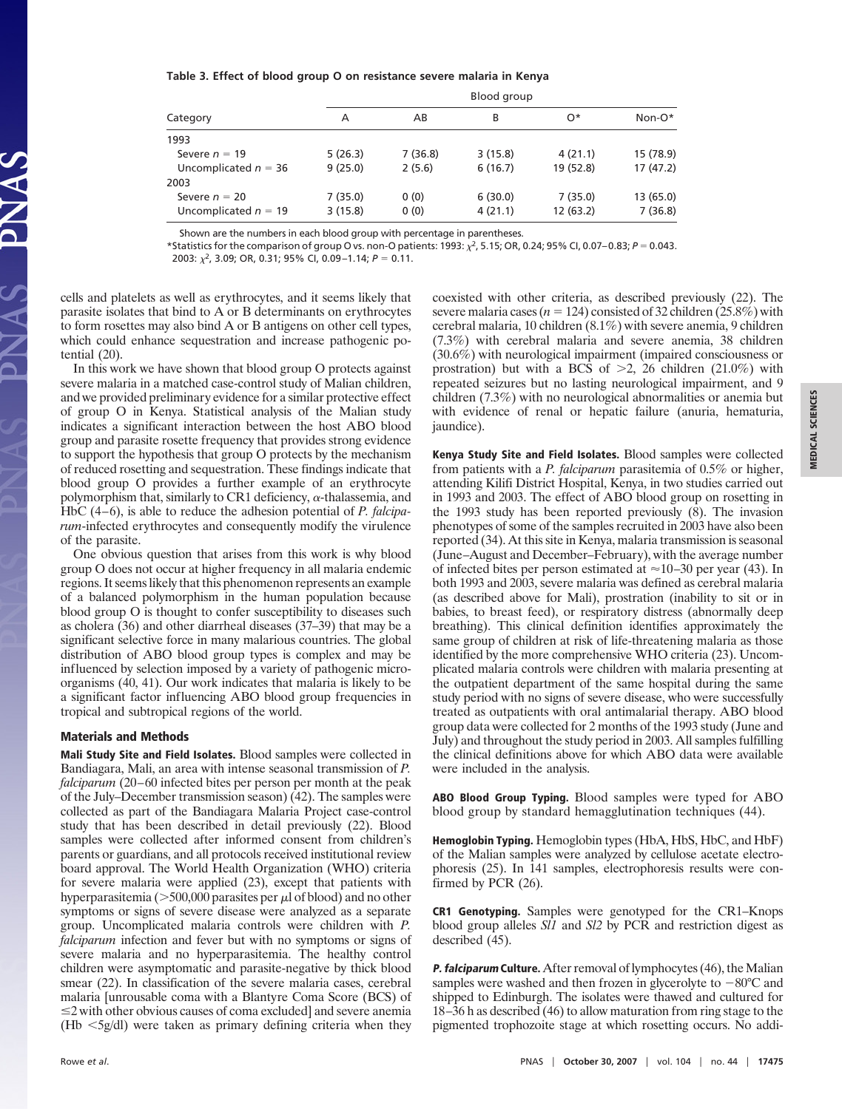#### **Table 3. Effect of blood group O on resistance severe malaria in Kenya**

|                        |         |         | Blood group |           |           |
|------------------------|---------|---------|-------------|-----------|-----------|
| Category               | Α       | Non-O*  |             |           |           |
| 1993                   |         |         |             |           |           |
| Severe $n = 19$        | 5(26.3) | 7(36.8) | 3(15.8)     | 4(21.1)   | 15 (78.9) |
| Uncomplicated $n = 36$ | 9(25.0) | 2(5.6)  | 6(16.7)     | 19 (52.8) | 17(47.2)  |
| 2003                   |         |         |             |           |           |
| Severe $n = 20$        | 7(35.0) | 0(0)    | 6(30.0)     | 7(35.0)   | 13 (65.0) |
| Uncomplicated $n = 19$ | 3(15.8) | 0(0)    | 4(21.1)     | 12 (63.2) | 7(36.8)   |

Shown are the numbers in each blood group with percentage in parentheses.

\*Statistics for the comparison of group O vs. non-O patients: 1993:  $\chi^2$ , 5.15; OR, 0.24; 95% CI, 0.07–0.83; *P* = 0.043. 2003:  $\chi^2$ , 3.09; OR, 0.31; 95% CI, 0.09-1.14;  $P = 0.11$ .

cells and platelets as well as erythrocytes, and it seems likely that parasite isolates that bind to A or B determinants on erythrocytes to form rosettes may also bind A or B antigens on other cell types, which could enhance sequestration and increase pathogenic potential (20).

In this work we have shown that blood group O protects against severe malaria in a matched case-control study of Malian children, and we provided preliminary evidence for a similar protective effect of group O in Kenya. Statistical analysis of the Malian study indicates a significant interaction between the host ABO blood group and parasite rosette frequency that provides strong evidence to support the hypothesis that group O protects by the mechanism of reduced rosetting and sequestration. These findings indicate that blood group O provides a further example of an erythrocyte polymorphism that, similarly to CR1 deficiency,  $\alpha$ -thalassemia, and HbC (4–6), is able to reduce the adhesion potential of *P. falciparum*-infected erythrocytes and consequently modify the virulence of the parasite.

One obvious question that arises from this work is why blood group O does not occur at higher frequency in all malaria endemic regions. It seems likely that this phenomenon represents an example of a balanced polymorphism in the human population because blood group O is thought to confer susceptibility to diseases such as cholera (36) and other diarrheal diseases (37–39) that may be a significant selective force in many malarious countries. The global distribution of ABO blood group types is complex and may be influenced by selection imposed by a variety of pathogenic microorganisms (40, 41). Our work indicates that malaria is likely to be a significant factor influencing ABO blood group frequencies in tropical and subtropical regions of the world.

#### **Materials and Methods**

**Mali Study Site and Field Isolates.** Blood samples were collected in Bandiagara, Mali, an area with intense seasonal transmission of *P. falciparum* (20–60 infected bites per person per month at the peak of the July–December transmission season) (42). The samples were collected as part of the Bandiagara Malaria Project case-control study that has been described in detail previously (22). Blood samples were collected after informed consent from children's parents or guardians, and all protocols received institutional review board approval. The World Health Organization (WHO) criteria for severe malaria were applied (23), except that patients with hyperparasitemia ( $>500,000$  parasites per  $\mu$ l of blood) and no other symptoms or signs of severe disease were analyzed as a separate group. Uncomplicated malaria controls were children with *P. falciparum* infection and fever but with no symptoms or signs of severe malaria and no hyperparasitemia. The healthy control children were asymptomatic and parasite-negative by thick blood smear (22). In classification of the severe malaria cases, cerebral malaria [unrousable coma with a Blantyre Coma Score (BCS) of  $\leq$  2 with other obvious causes of coma excluded] and severe anemia  $(Hb \leq 5g/dl)$  were taken as primary defining criteria when they

coexisted with other criteria, as described previously (22). The severe malaria cases ( $n = 124$ ) consisted of 32 children (25.8%) with cerebral malaria, 10 children (8.1%) with severe anemia, 9 children (7.3%) with cerebral malaria and severe anemia, 38 children (30.6%) with neurological impairment (impaired consciousness or prostration) but with a BCS of  $\geq$ 2, 26 children (21.0%) with repeated seizures but no lasting neurological impairment, and 9 children (7.3%) with no neurological abnormalities or anemia but with evidence of renal or hepatic failure (anuria, hematuria, jaundice).

**Kenya Study Site and Field Isolates.** Blood samples were collected from patients with a *P. falciparum* parasitemia of 0.5% or higher, attending Kilifi District Hospital, Kenya, in two studies carried out in 1993 and 2003. The effect of ABO blood group on rosetting in the 1993 study has been reported previously (8). The invasion phenotypes of some of the samples recruited in 2003 have also been reported (34). At this site in Kenya, malaria transmission is seasonal (June–August and December–February), with the average number of infected bites per person estimated at  $\approx$  10–30 per year (43). In both 1993 and 2003, severe malaria was defined as cerebral malaria (as described above for Mali), prostration (inability to sit or in babies, to breast feed), or respiratory distress (abnormally deep breathing). This clinical definition identifies approximately the same group of children at risk of life-threatening malaria as those identified by the more comprehensive WHO criteria (23). Uncomplicated malaria controls were children with malaria presenting at the outpatient department of the same hospital during the same study period with no signs of severe disease, who were successfully treated as outpatients with oral antimalarial therapy. ABO blood group data were collected for 2 months of the 1993 study (June and July) and throughout the study period in 2003. All samples fulfilling the clinical definitions above for which ABO data were available were included in the analysis.

**ABO Blood Group Typing.** Blood samples were typed for ABO blood group by standard hemagglutination techniques (44).

**Hemoglobin Typing.** Hemoglobin types (HbA, HbS, HbC, and HbF) of the Malian samples were analyzed by cellulose acetate electrophoresis (25). In 141 samples, electrophoresis results were confirmed by PCR (26).

**CR1 Genotyping.** Samples were genotyped for the CR1–Knops blood group alleles *Sl1* and *Sl2* by PCR and restriction digest as described (45).

**P. falciparum Culture.** After removal of lymphocytes (46), the Malian samples were washed and then frozen in glycerolyte to  $-80^{\circ}$ C and shipped to Edinburgh. The isolates were thawed and cultured for 18–36 h as described (46) to allow maturation from ring stage to the pigmented trophozoite stage at which rosetting occurs. No addi-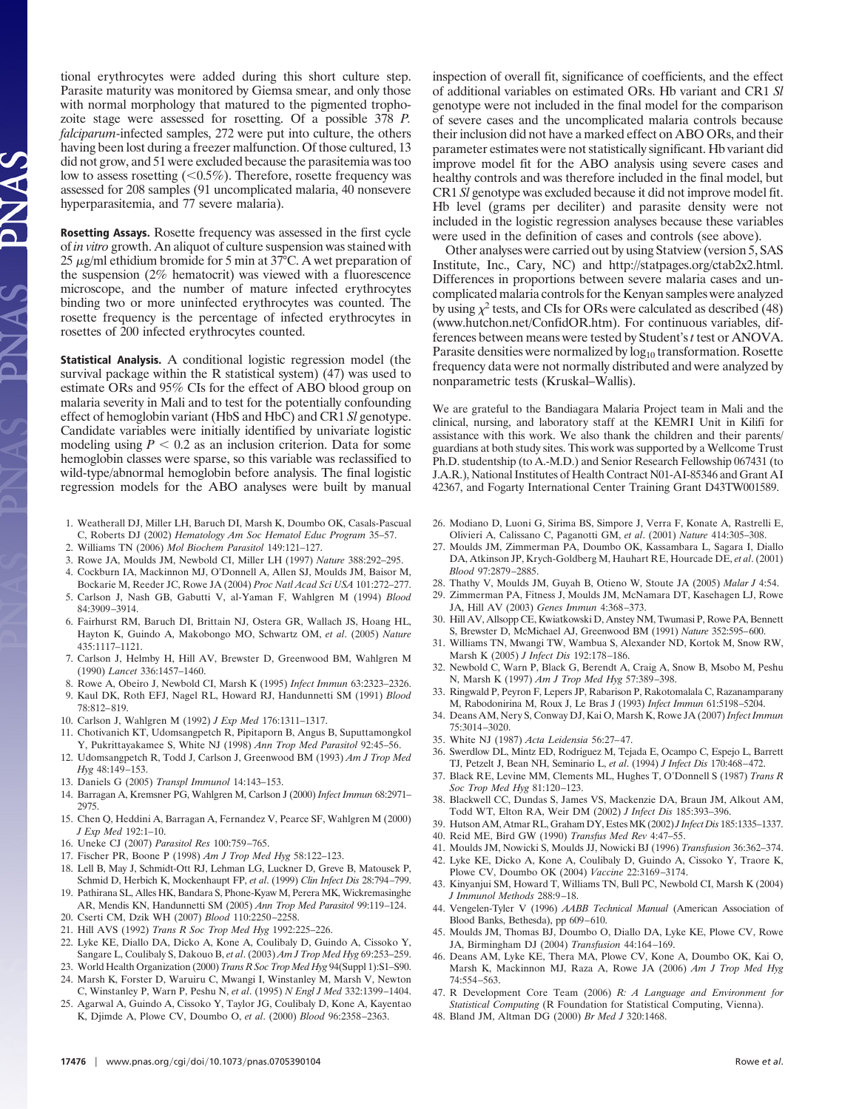tional erythrocytes were added during this short culture step. Parasite maturity was monitored by Giemsa smear, and only those with normal morphology that matured to the pigmented trophozoite stage were assessed for rosetting. Of a possible 378 *P. falciparum*-infected samples, 272 were put into culture, the others having been lost during a freezer malfunction. Of those cultured, 13 did not grow, and 51 were excluded because the parasitemia was too low to assess rosetting  $(< 0.5\%)$ . Therefore, rosette frequency was assessed for 208 samples (91 uncomplicated malaria, 40 nonsevere hyperparasitemia, and 77 severe malaria).

**Rosetting Assays.** Rosette frequency was assessed in the first cycle of *in vitro* growth. An aliquot of culture suspension was stained with 25  $\mu$ g/ml ethidium bromide for 5 min at 37°C. A wet preparation of the suspension (2% hematocrit) was viewed with a fluorescence microscope, and the number of mature infected erythrocytes binding two or more uninfected erythrocytes was counted. The rosette frequency is the percentage of infected erythrocytes in rosettes of 200 infected erythrocytes counted.

**Statistical Analysis.** A conditional logistic regression model (the survival package within the R statistical system) (47) was used to estimate ORs and 95% CIs for the effect of ABO blood group on malaria severity in Mali and to test for the potentially confounding effect of hemoglobin variant (HbS and HbC) and CR1 *Sl* genotype. Candidate variables were initially identified by univariate logistic modeling using  $P < 0.2$  as an inclusion criterion. Data for some hemoglobin classes were sparse, so this variable was reclassified to wild-type/abnormal hemoglobin before analysis. The final logistic regression models for the ABO analyses were built by manual

- 1. Weatherall DJ, Miller LH, Baruch DI, Marsh K, Doumbo OK, Casals-Pascual C, Roberts DJ (2002) *Hematology Am Soc Hematol Educ Program* 35–57.
- 2. Williams TN (2006) *Mol Biochem Parasitol* 149:121–127.
- 3. Rowe JA, Moulds JM, Newbold CI, Miller LH (1997) *Nature* 388:292–295.
- 4. Cockburn IA, Mackinnon MJ, O'Donnell A, Allen SJ, Moulds JM, Baisor M, Bockarie M, Reeder JC, Rowe JA (2004) *Proc Natl Acad Sci USA* 101:272–277.
- 5. Carlson J, Nash GB, Gabutti V, al-Yaman F, Wahlgren M (1994) *Blood* 84:3909–3914.
- 6. Fairhurst RM, Baruch DI, Brittain NJ, Ostera GR, Wallach JS, Hoang HL, Hayton K, Guindo A, Makobongo MO, Schwartz OM, *et al*. (2005) *Nature* 435:1117–1121.
- 7. Carlson J, Helmby H, Hill AV, Brewster D, Greenwood BM, Wahlgren M (1990) *Lancet* 336:1457–1460.
- 8. Rowe A, Obeiro J, Newbold CI, Marsh K (1995) *Infect Immun* 63:2323–2326.
- 9. Kaul DK, Roth EFJ, Nagel RL, Howard RJ, Handunnetti SM (1991) *Blood* 78:812–819.
- 10. Carlson J, Wahlgren M (1992) *J Exp Med* 176:1311–1317.
- 11. Chotivanich KT, Udomsangpetch R, Pipitaporn B, Angus B, Suputtamongkol Y, Pukrittayakamee S, White NJ (1998) *Ann Trop Med Parasitol* 92:45–56.
- 12. Udomsangpetch R, Todd J, Carlson J, Greenwood BM (1993) *Am J Trop Med Hyg* 48:149–153.
- 13. Daniels G (2005) *Transpl Immunol* 14:143–153.
- 14. Barragan A, Kremsner PG, Wahlgren M, Carlson J (2000) *Infect Immun* 68:2971– 2975.
- 15. Chen Q, Heddini A, Barragan A, Fernandez V, Pearce SF, Wahlgren M (2000) *J Exp Med* 192:1–10.
- 16. Uneke CJ (2007) *Parasitol Res* 100:759–765.
- 17. Fischer PR, Boone P (1998) *Am J Trop Med Hyg* 58:122–123.
- 18. Lell B, May J, Schmidt-Ott RJ, Lehman LG, Luckner D, Greve B, Matousek P, Schmid D, Herbich K, Mockenhaupt FP, *et al*. (1999) *Clin Infect Dis* 28:794–799.
- 19. Pathirana SL, Alles HK, Bandara S, Phone-Kyaw M, Perera MK, Wickremasinghe AR, Mendis KN, Handunnetti SM (2005) *Ann Trop Med Parasitol* 99:119–124.
- 20. Cserti CM, Dzik WH (2007) *Blood* 110:2250–2258. 21. Hill AVS (1992) *Trans R Soc Trop Med Hyg* 1992:225–226.
- 22. Lyke KE, Diallo DA, Dicko A, Kone A, Coulibaly D, Guindo A, Cissoko Y, Sangare L, Coulibaly S, Dakouo B, *et al*. (2003) *Am J Trop Med Hyg* 69:253–259.
- 23. World Health Organization (2000) *Trans R Soc Trop Med Hyg* 94(Suppl 1):S1–S90. 24. Marsh K, Forster D, Waruiru C, Mwangi I, Winstanley M, Marsh V, Newton
- C, Winstanley P, Warn P, Peshu N, *et al*. (1995) *N Engl J Med* 332:1399–1404. 25. Agarwal A, Guindo A, Cissoko Y, Taylor JG, Coulibaly D, Kone A, Kayentao
- K, Djimde A, Plowe CV, Doumbo O, *et al*. (2000) *Blood* 96:2358–2363.

inspection of overall fit, significance of coefficients, and the effect of additional variables on estimated ORs. Hb variant and CR1 *Sl* genotype were not included in the final model for the comparison of severe cases and the uncomplicated malaria controls because their inclusion did not have a marked effect on ABO ORs, and their parameter estimates were not statistically significant. Hb variant did improve model fit for the ABO analysis using severe cases and healthy controls and was therefore included in the final model, but CR1 *Sl* genotype was excluded because it did not improve model fit. Hb level (grams per deciliter) and parasite density were not included in the logistic regression analyses because these variables were used in the definition of cases and controls (see above).

Other analyses were carried out by using Statview (version 5, SAS Institute, Inc., Cary, NC) and http://statpages.org/ctab2x2.html. Differences in proportions between severe malaria cases and uncomplicated malaria controls for the Kenyan samples were analyzed by using  $\chi^2$  tests, and CIs for ORs were calculated as described (48) (www.hutchon.net/ConfidOR.htm). For continuous variables, differences between means were tested by Student's*t* test or ANOVA. Parasite densities were normalized by log<sub>10</sub> transformation. Rosette frequency data were not normally distributed and were analyzed by nonparametric tests (Kruskal–Wallis).

We are grateful to the Bandiagara Malaria Project team in Mali and the clinical, nursing, and laboratory staff at the KEMRI Unit in Kilifi for assistance with this work. We also thank the children and their parents/ guardians at both study sites. This work was supported by a Wellcome Trust Ph.D. studentship (to A.-M.D.) and Senior Research Fellowship 067431 (to J.A.R.), National Institutes of Health Contract N01-AI-85346 and Grant AI 42367, and Fogarty International Center Training Grant D43TW001589.

- 26. Modiano D, Luoni G, Sirima BS, Simpore J, Verra F, Konate A, Rastrelli E, Olivieri A, Calissano C, Paganotti GM, *et al*. (2001) *Nature* 414:305–308.
- 27. Moulds JM, Zimmerman PA, Doumbo OK, Kassambara L, Sagara I, Diallo DA, Atkinson JP, Krych-Goldberg M, Hauhart RE, Hourcade DE, *et al*. (2001) *Blood* 97:2879–2885.
- 28. Thathy V, Moulds JM, Guyah B, Otieno W, Stoute JA (2005) *Malar J* 4:54.
- 29. Zimmerman PA, Fitness J, Moulds JM, McNamara DT, Kasehagen LJ, Rowe JA, Hill AV (2003) *Genes Immun* 4:368–373.
- 30. Hill AV, Allsopp CE, Kwiatkowski D, Anstey NM, Twumasi P, Rowe PA, Bennett S, Brewster D, McMichael AJ, Greenwood BM (1991) *Nature* 352:595–600.
- 31. Williams TN, Mwangi TW, Wambua S, Alexander ND, Kortok M, Snow RW, Marsh K (2005) *J Infect Dis* 192:178–186.
- 32. Newbold C, Warn P, Black G, Berendt A, Craig A, Snow B, Msobo M, Peshu N, Marsh K (1997) *Am J Trop Med Hyg* 57:389–398.
- 33. Ringwald P, Peyron F, Lepers JP, Rabarison P, Rakotomalala C, Razanamparany M, Rabodonirina M, Roux J, Le Bras J (1993) *Infect Immun* 61:5198–5204.
- 34. Deans AM, Nery S, Conway DJ, Kai O, Marsh K, Rowe JA (2007)*Infect Immun* 75:3014–3020.
- 35. White NJ (1987) *Acta Leidensia* 56:27–47.
- 36. Swerdlow DL, Mintz ED, Rodriguez M, Tejada E, Ocampo C, Espejo L, Barrett TJ, Petzelt J, Bean NH, Seminario L, *et al*. (1994) *J Infect Dis* 170:468–472.
- 37. Black RE, Levine MM, Clements ML, Hughes T, O'Donnell S (1987) *Trans R Soc Trop Med Hyg* 81:120–123.
- 38. Blackwell CC, Dundas S, James VS, Mackenzie DA, Braun JM, Alkout AM, Todd WT, Elton RA, Weir DM (2002) *J Infect Dis* 185:393–396.
- 39. Hutson AM, Atmar RL, Graham DY, Estes MK (2002)*J Infect Dis* 185:1335–1337. 40. Reid ME, Bird GW (1990) *Transfus Med Rev* 4:47–55.
- 
- 41. Moulds JM, Nowicki S, Moulds JJ, Nowicki BJ (1996) *Transfusion* 36:362–374. 42. Lyke KE, Dicko A, Kone A, Coulibaly D, Guindo A, Cissoko Y, Traore K, Plowe CV, Doumbo OK (2004) *Vaccine* 22:3169–3174.
- 43. Kinyanjui SM, Howard T, Williams TN, Bull PC, Newbold CI, Marsh K (2004) *J Immunol Methods* 288:9–18.
- 44. Vengelen-Tyler V (1996) *AABB Technical Manual* (American Association of Blood Banks, Bethesda), pp 609–610.
- 45. Moulds JM, Thomas BJ, Doumbo O, Diallo DA, Lyke KE, Plowe CV, Rowe JA, Birmingham DJ (2004) *Transfusion* 44:164–169.
- 46. Deans AM, Lyke KE, Thera MA, Plowe CV, Kone A, Doumbo OK, Kai O, Marsh K, Mackinnon MJ, Raza A, Rowe JA (2006) *Am J Trop Med Hyg* 74:554–563.
- 47. R Development Core Team (2006) *R: A Language and Environment for Statistical Computing* (R Foundation for Statistical Computing, Vienna).
- 48. Bland JM, Altman DG (2000) *Br Med J* 320:1468.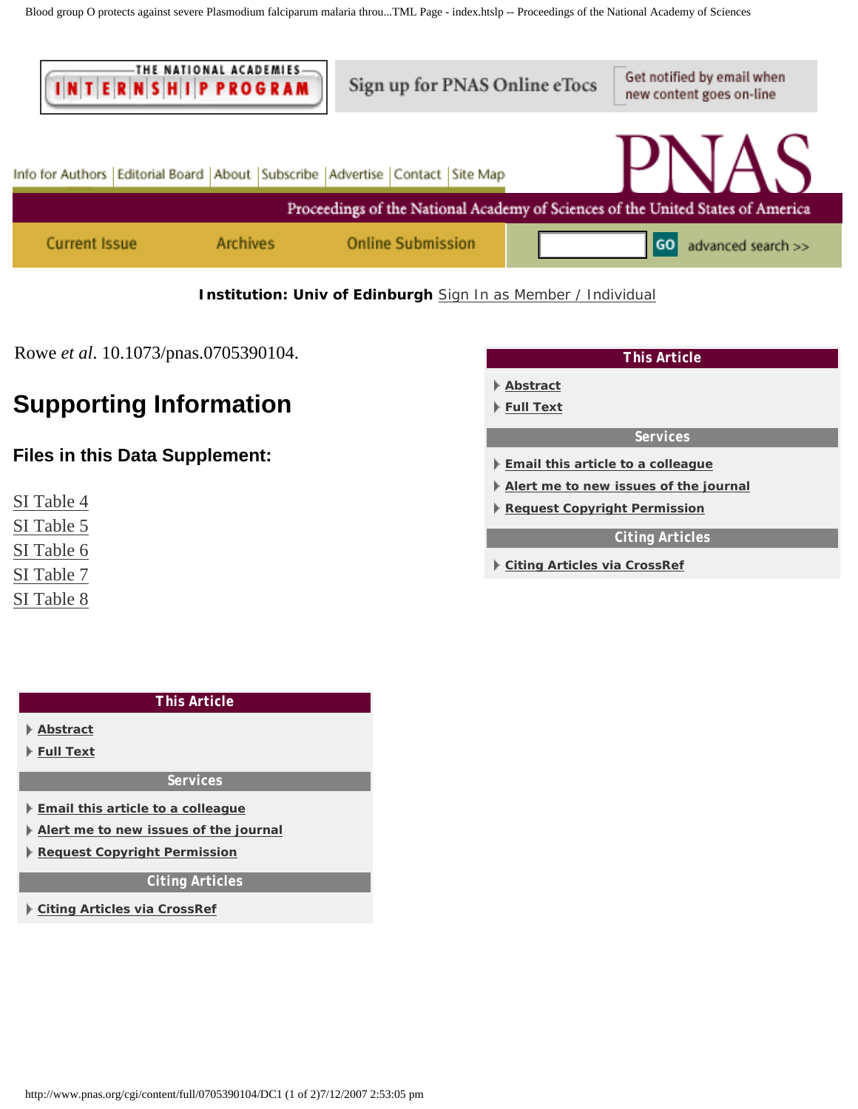<span id="page-6-0"></span>

### **Institution: Univ of Edinburgh** [Sign In as Member / Individual](http://www.pnas.org/cgi/login?uri=%2Fcgi%2Fcontent%2Ffull%2F0705390104%2FDC1)

Rowe *et al*. 10.1073/pnas.0705390104.

## **Supporting Information**

## **Files in this Data Supplement:**

- [SI Table 4](#page-8-0)
- [SI Table 5](#page-9-0)
- [SI Table 6](#page-10-0)
- [SI Table 7](#page-11-0)
- [SI Table 8](#page-13-0)

| <b>This Article</b>                                     |
|---------------------------------------------------------|
| Abstract                                                |
| Full Text                                               |
| <b>Services</b>                                         |
| $\blacktriangleright$ Email this article to a colleague |
| Alert me to new issues of the journal                   |
| Request Copyright Permission                            |
| <b>Citing Articles</b>                                  |
| ▶ Citing Articles via CrossRef                          |

| <b>This Article</b>                                     |  |  |  |  |
|---------------------------------------------------------|--|--|--|--|
| Abstract                                                |  |  |  |  |
| ⊩ Full Text                                             |  |  |  |  |
| <b>Services</b>                                         |  |  |  |  |
| $\blacktriangleright$ Email this article to a colleague |  |  |  |  |
| Alert me to new issues of the journal                   |  |  |  |  |
| Request Copyright Permission                            |  |  |  |  |
| <b>Citing Articles</b>                                  |  |  |  |  |
| ▶ Citing Articles via CrossRef                          |  |  |  |  |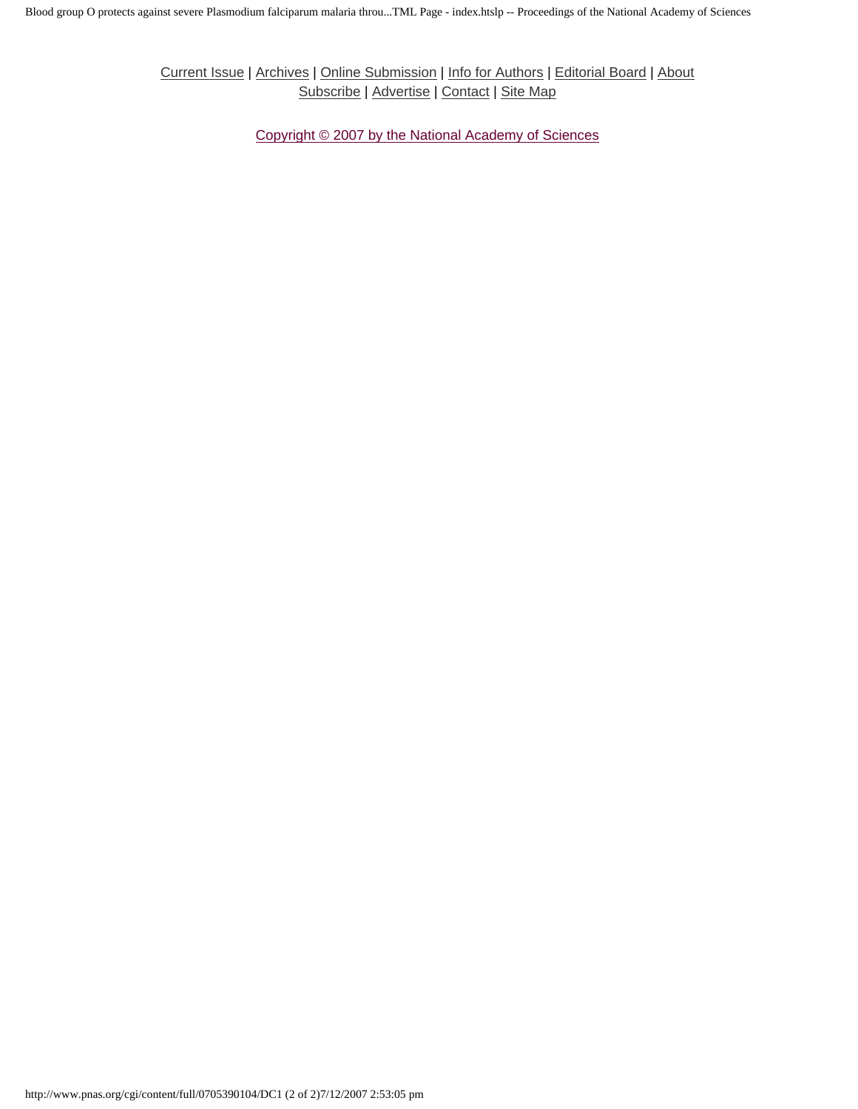[Current Issue](http://www.pnas.org/current.shtml) | [Archives](http://www.pnas.org/contents-by-date.0.shtml) | [Online Submission](http://www.pnas.org/misc/onlinesubmission.shtml) | [Info for Authors](http://www.pnas.org/misc/iforc.shtml) | [Editorial Board](http://www.pnas.org/misc/masthead.shtml) | [About](http://www.pnas.org/misc/about.shtml) [Subscribe](http://www.pnas.org/subscriptions/) | [Advertise](http://www.pnas.org/misc/about.shtml#advertising) | [Contact](http://www.pnas.org/cgi/feedback) | [Site Map](http://www.pnas.org/misc/sitemap.shtml)

[Copyright © 2007 by the National Academy of Sciences](http://www.pnas.org/misc/terms.shtml)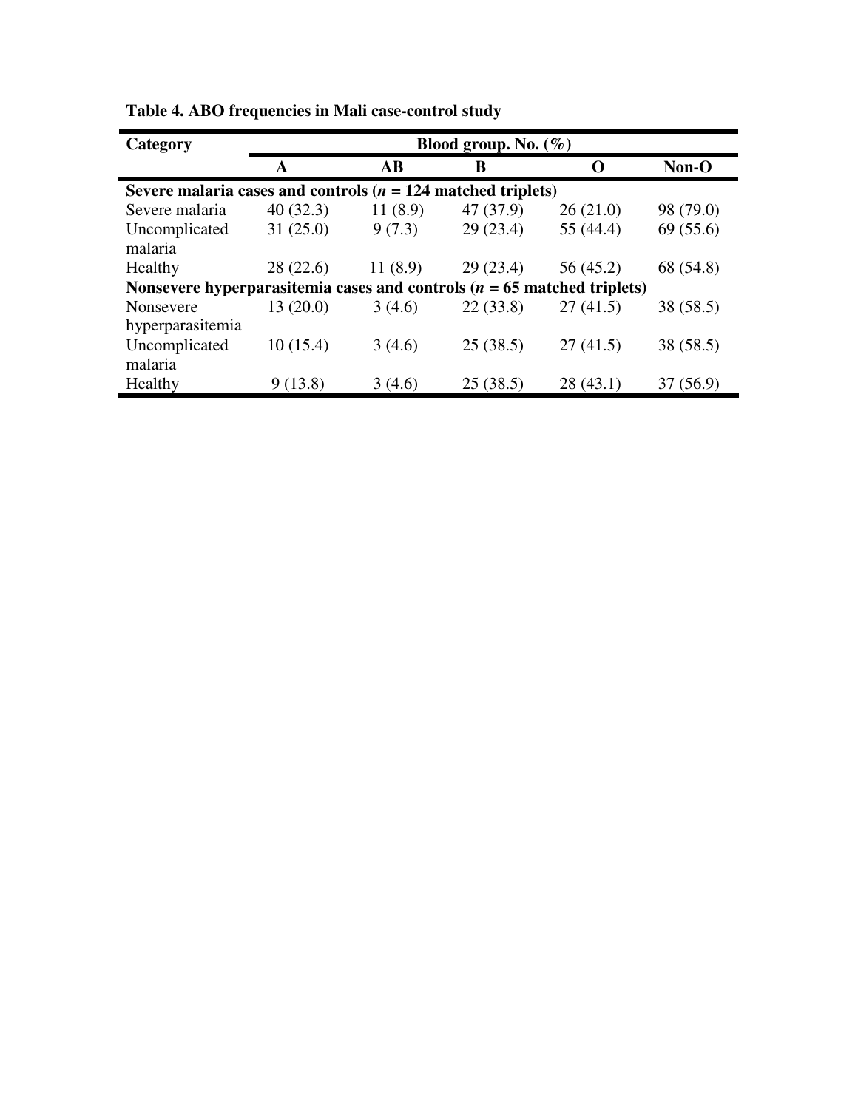| Category                                                                   |          |                        | Blood group. No. $(\%)$ |           |           |
|----------------------------------------------------------------------------|----------|------------------------|-------------------------|-----------|-----------|
|                                                                            | A        | $\mathbf{A}\mathbf{B}$ | B                       | $\Omega$  | Non-O     |
| Severe malaria cases and controls ( $n = 124$ matched triplets)            |          |                        |                         |           |           |
| Severe malaria                                                             | 40(32.3) | 11(8.9)                | 47 (37.9)               | 26(21.0)  | 98 (79.0) |
| Uncomplicated                                                              | 31(25.0) | 9(7.3)                 | 29(23.4)                | 55 (44.4) | 69(55.6)  |
| malaria                                                                    |          |                        |                         |           |           |
| Healthy                                                                    | 28(22.6) | 11(8.9)                | 29(23.4)                | 56 (45.2) | 68 (54.8) |
| Nonsevere hyperparasitemia cases and controls ( $n = 65$ matched triplets) |          |                        |                         |           |           |
| Nonsevere                                                                  | 13(20.0) | 3(4.6)                 | 22(33.8)                | 27(41.5)  | 38 (58.5) |
| hyperparasitemia                                                           |          |                        |                         |           |           |
| Uncomplicated                                                              | 10(15.4) | 3(4.6)                 | 25(38.5)                | 27(41.5)  | 38 (58.5) |
| malaria                                                                    |          |                        |                         |           |           |
| Healthy                                                                    | 9(13.8)  | 3(4.6)                 | 25(38.5)                | 28(43.1)  | 37(56.9)  |

<span id="page-8-0"></span>**Table 4. ABO frequencies in Mali case-control study**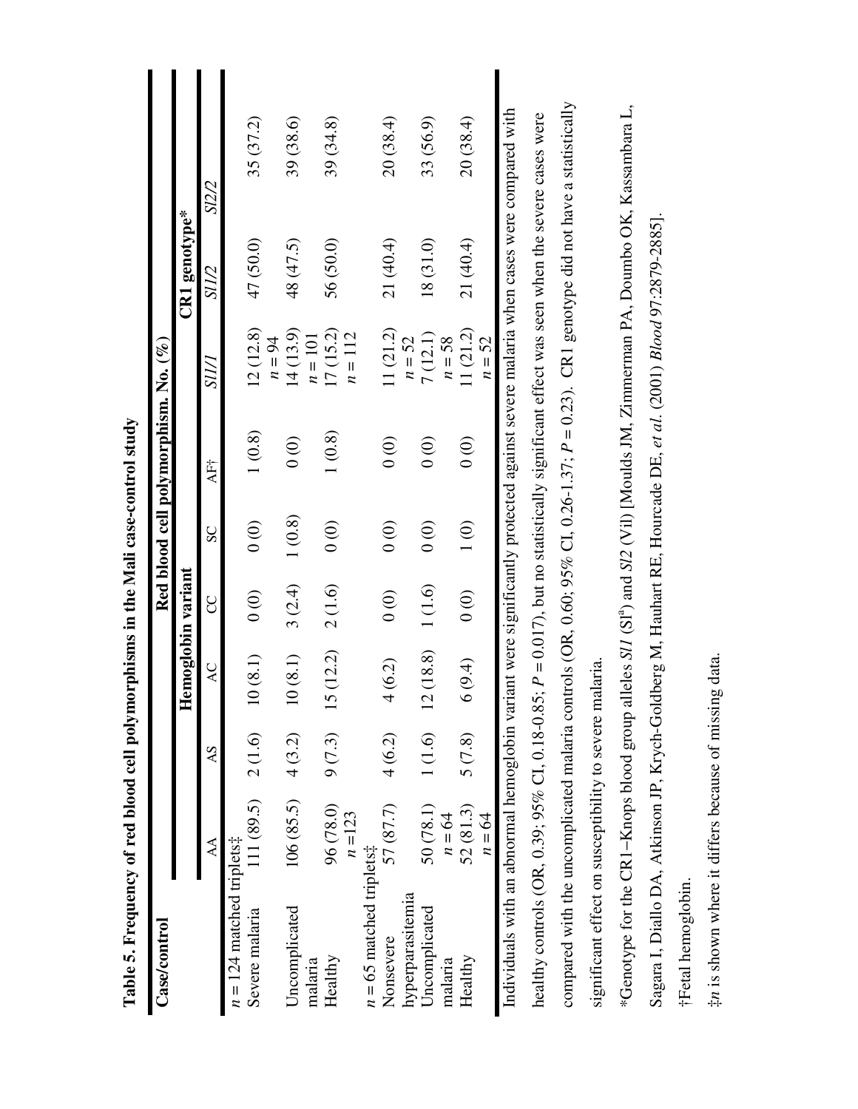<span id="page-9-0"></span>

| 1(0.8)<br>1(0.8)<br>$\begin{matrix} 0 \\ 0 \end{matrix}$<br>$\begin{matrix} 0 \\ 0 \end{matrix}$<br>$\begin{matrix} 0 \\ 0 \end{matrix}$<br>$\begin{matrix} 0 \\ 0 \end{matrix}$<br>AF†<br>1(0.8)<br>1(0)<br>$\begin{matrix} 0 \\ 0 \end{matrix}$<br>$\begin{matrix} 0 \\ 0 \end{matrix}$<br>$\begin{matrix} 0 \\ 0 \end{matrix}$<br>$\frac{1}{2}$<br>SC<br>Hemoglobin variant<br>1(1.6)<br>3(2.4)<br>2(1.6)<br>$\begin{matrix} 0 \\ 0 \end{matrix}$<br>$\odot$<br>$\odot$<br>႘<br>(12.2)<br>(18.8)<br>10(8.1)<br>10(8.1)<br>4(6.2)<br>(9.4)<br>AC<br>$\overline{c}$<br>$\circ$<br>15<br>1(1.6)<br>9(7.3)<br>$111(89.5)$ $2(1.6)$<br>5(7.8)<br>4(3.2)<br>4(6.2)<br>$\mathcal{S}$<br>106(85.5)<br>57 (87.7)<br>96 (78.0)<br>50 (78.1)<br>52(81.3)<br>$n = 123$<br>$n = 64$<br>$n = 124$ matched triplets‡<br>$\Delta$<br>$n = 65$ matched triplets‡<br>hyperparasitemia<br>Uncomplicated<br>Uncomplicated<br>Severe malaria<br>Nonsevere<br>Healthy<br>Healthy<br>malaria<br>malaria | Red blood cell polymorphism. No. ( $\%$ ) |                       |                 |           |
|-------------------------------------------------------------------------------------------------------------------------------------------------------------------------------------------------------------------------------------------------------------------------------------------------------------------------------------------------------------------------------------------------------------------------------------------------------------------------------------------------------------------------------------------------------------------------------------------------------------------------------------------------------------------------------------------------------------------------------------------------------------------------------------------------------------------------------------------------------------------------------------------------------------------------------------------------------------------------------------|-------------------------------------------|-----------------------|-----------------|-----------|
|                                                                                                                                                                                                                                                                                                                                                                                                                                                                                                                                                                                                                                                                                                                                                                                                                                                                                                                                                                                     |                                           |                       | $CR1$ genotype* |           |
|                                                                                                                                                                                                                                                                                                                                                                                                                                                                                                                                                                                                                                                                                                                                                                                                                                                                                                                                                                                     |                                           | SII/I                 | S12/2<br>SU/2   |           |
|                                                                                                                                                                                                                                                                                                                                                                                                                                                                                                                                                                                                                                                                                                                                                                                                                                                                                                                                                                                     |                                           |                       |                 |           |
|                                                                                                                                                                                                                                                                                                                                                                                                                                                                                                                                                                                                                                                                                                                                                                                                                                                                                                                                                                                     |                                           | 12(12.8)<br>$n = 94$  | 47 (50.0)       | 35 (37.2) |
|                                                                                                                                                                                                                                                                                                                                                                                                                                                                                                                                                                                                                                                                                                                                                                                                                                                                                                                                                                                     |                                           | 14(13.9)<br>$n=101$   | 48 (47.5)       | 39 (38.6) |
|                                                                                                                                                                                                                                                                                                                                                                                                                                                                                                                                                                                                                                                                                                                                                                                                                                                                                                                                                                                     |                                           | 17(15.2)<br>$n = 112$ | 56 (50.0)       | 39 (34.8) |
|                                                                                                                                                                                                                                                                                                                                                                                                                                                                                                                                                                                                                                                                                                                                                                                                                                                                                                                                                                                     |                                           |                       |                 |           |
|                                                                                                                                                                                                                                                                                                                                                                                                                                                                                                                                                                                                                                                                                                                                                                                                                                                                                                                                                                                     |                                           | 11(21.2)              | 21 (40.4)       | 20 (38.4) |
|                                                                                                                                                                                                                                                                                                                                                                                                                                                                                                                                                                                                                                                                                                                                                                                                                                                                                                                                                                                     |                                           | $n = 52$              |                 |           |
|                                                                                                                                                                                                                                                                                                                                                                                                                                                                                                                                                                                                                                                                                                                                                                                                                                                                                                                                                                                     |                                           | 7(12.1)               | 18(31.0)        | 33 (56.9) |
|                                                                                                                                                                                                                                                                                                                                                                                                                                                                                                                                                                                                                                                                                                                                                                                                                                                                                                                                                                                     |                                           | $n = 58$              |                 |           |
|                                                                                                                                                                                                                                                                                                                                                                                                                                                                                                                                                                                                                                                                                                                                                                                                                                                                                                                                                                                     |                                           | 11(21.2)              | 21 (40.4)       | 20 (38.4) |
| $n = 64$                                                                                                                                                                                                                                                                                                                                                                                                                                                                                                                                                                                                                                                                                                                                                                                                                                                                                                                                                                            |                                           | $n = 52$              |                 |           |

Table 5. Frequency of red blood cell polymorphisms in the Mali case-control study **Table 5. Frequency of red blood cell polymorphisms in the Mali case-control study** 
> \*Genotype for the CR1-Knops blood group alleles SI1 (SI<sup>a</sup>) and SI2 (Vil) [Moulds JM, Zimmerman PA, Doumbo OK, Kassambara L, a) and *Sl2* (Vil) [Moulds JM, Zimmerman PA, Doumbo OK, Kassambara L, Sagara I, Diallo DA, Atkinson JP, Krych-Goldberg M, Hauhart RE, Hourcade DE, *et al*. (2001) *Blood* 97:2879-2885]. Sagara I, Diallo DA, Atkinson JP, Krych-Goldberg M, Hauhart RE, Hourcade DE, et al. (2001) Blood 97:2879-2885]. −Knops blood group alleles *Sl1* (Sl \*Genotype for the CR1 †Fetal hemoglobin. **†Fetal** hemoglobin.

compared with the uncomplicated malaria controls (OR, 0.60; 95% CI, 0.26-1.37; *P* = 0.23). CR1 genotype did not have a statistically

compared with the uncomplicated malaria controls (OR, 0.60; 95% CI, 0.26-1.37;  $P = 0.23$ ). CR1 genotype did not have a statistically

significant effect on susceptibility to severe malaria.

significant effect on susceptibility to severe malaria.

‡n is shown where it differs because of missing data. *n* is shown where it differs because of missing data.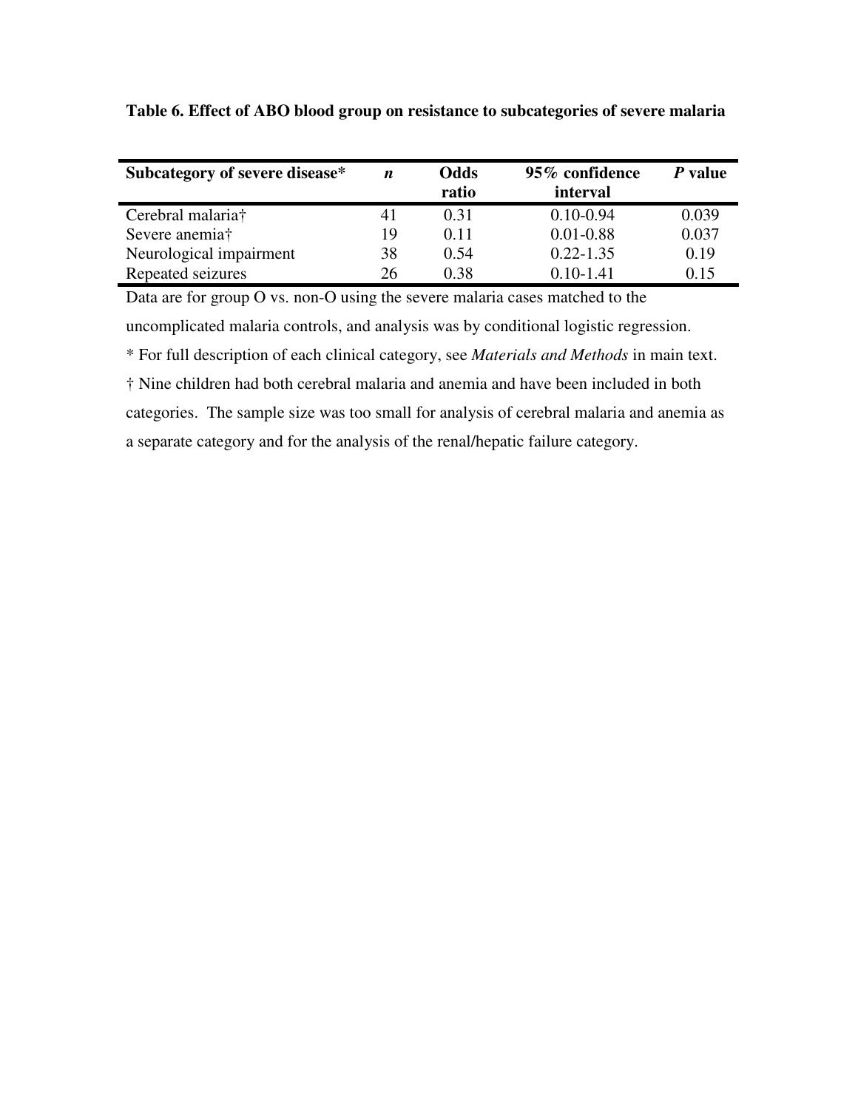| Subcategory of severe disease* | $\boldsymbol{n}$ | Odds<br>ratio | 95% confidence<br>interval | P value |
|--------------------------------|------------------|---------------|----------------------------|---------|
| Cerebral malaria†              | 41               | 0.31          | $0.10 - 0.94$              | 0.039   |
| Severe anemia†                 | 19               | 0.11          | $0.01 - 0.88$              | 0.037   |
| Neurological impairment        | 38               | 0.54          | $0.22 - 1.35$              | 0.19    |
| Repeated seizures              | 26               | 0.38          | $0.10 - 1.41$              | 0.15    |

<span id="page-10-0"></span>**Table 6. Effect of ABO blood group on resistance to subcategories of severe malaria** 

Data are for group O vs. non-O using the severe malaria cases matched to the uncomplicated malaria controls, and analysis was by conditional logistic regression.

\* For full description of each clinical category, see *Materials and Methods* in main text.

† Nine children had both cerebral malaria and anemia and have been included in both categories. The sample size was too small for analysis of cerebral malaria and anemia as a separate category and for the analysis of the renal/hepatic failure category.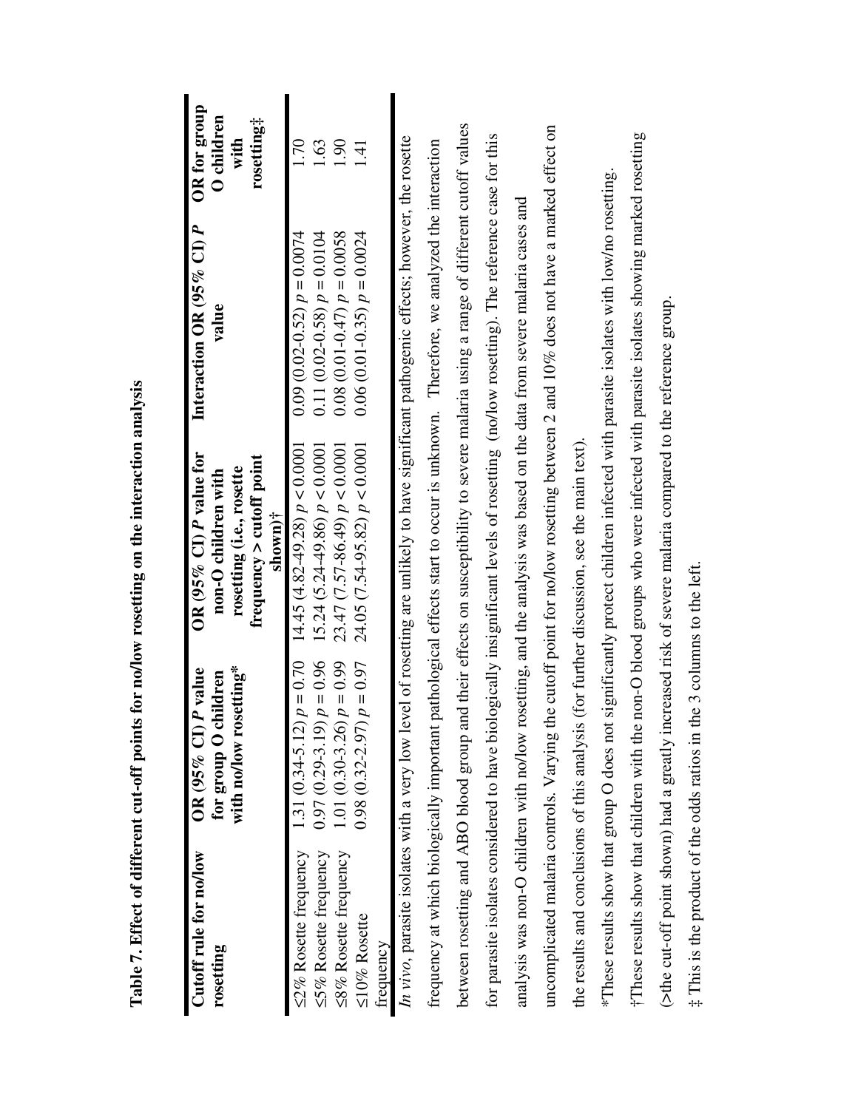<span id="page-11-0"></span>

| Cutoff rule for no/low<br>rosetting          | with no/low rosetting*<br>P value<br>for group O children<br>$OR$ (95% CI). | OR (95% CI) P value for<br>frequency $>$ cutoff point<br>rosetting (i.e., rosette<br>non-O children with<br>$\frac{\sin \theta}{\sin \theta}$ | Interaction OR $(95\% \text{ CI})$ P<br>value | OR for group<br>O children<br>rosetting‡<br>with |
|----------------------------------------------|-----------------------------------------------------------------------------|-----------------------------------------------------------------------------------------------------------------------------------------------|-----------------------------------------------|--------------------------------------------------|
| ≤2% Rosette frequency                        | $p = 0.70$<br>$1.31(0.34 - 5.12)$                                           | $14.45(4.82-49.28) p < 0.0001$                                                                                                                | $(0.09(0.02-0.52)) p = 0.0074$                | 1.70                                             |
| ≤5% Rosette frequency                        | $p = 0.96$<br>$0.97(0.29 - 3.19)$                                           | $15.24 (5.24 - 49.86) p < 0.0001$                                                                                                             | 0.11 (0.02-0.58) $p = 0.0104$                 | .63                                              |
| ≤8% Rosette frequency                        | $p = 0.99$<br>1.01 (0.30-3.26)                                              | $23.47(7.57-86.49) p < 0.0001$                                                                                                                | $0.08(0.01-0.47)$ $p = 0.0058$                | 061                                              |
| ≤10% Rosette<br>frequency                    | $p = 0.97$<br>$0.98(0.32 - 2.97)$                                           | $24.05 (7.54-95.82) p < 0.0001$                                                                                                               | $0.06(0.01-0.35) p = 0.0024$                  | 1.41                                             |
|                                              |                                                                             | In vivo, parasite isolates with a very low level of rosetting are unlikely to have significant pathogenic effects; however, the rosette       |                                               |                                                  |
|                                              |                                                                             | frequency at which biologically important pathological effects start to occur is unknown. Therefore, we analyzed the interaction              |                                               |                                                  |
| between rosetting and ABO blood group an     |                                                                             | d their effects on susceptibility to severe malaria using a range of different cutoff values                                                  |                                               |                                                  |
|                                              |                                                                             | for parasite isolates considered to have biologically insignificant levels of rosetting (no/low rosetting). The reference case for this       |                                               |                                                  |
|                                              |                                                                             | analysis was non-O children with no/low rosetting, and the analysis was based on the data from severe malaria cases and                       |                                               |                                                  |
|                                              |                                                                             | uncomplicated malaria controls. Varying the cutoff point for no/low rosetting between 2 and 10% does not have a marked effect on              |                                               |                                                  |
| the results and conclusions of this analysis |                                                                             | (for further discussion, see the main text).                                                                                                  |                                               |                                                  |
| *These results show that group O does not    |                                                                             | significantly protect children infected with parasite isolates with low/no rosetting.                                                         |                                               |                                                  |
|                                              |                                                                             | These results show that children with the non-O blood groups who were infected with parasite isolates showing marked rosetting                |                                               |                                                  |
|                                              |                                                                             | (>the cut-off point shown) had a greatly increased risk of severe malaria compared to the reference group.                                    |                                               |                                                  |
|                                              | ‡ This is the product of the odds ratios in the 3 columns to the left.      |                                                                                                                                               |                                               |                                                  |

Table 7. Effect of different cut-off points for no/low rosetting on the interaction analysis **Table 7. Effect of different cut-off points for no/low rosetting on the interaction analysis**